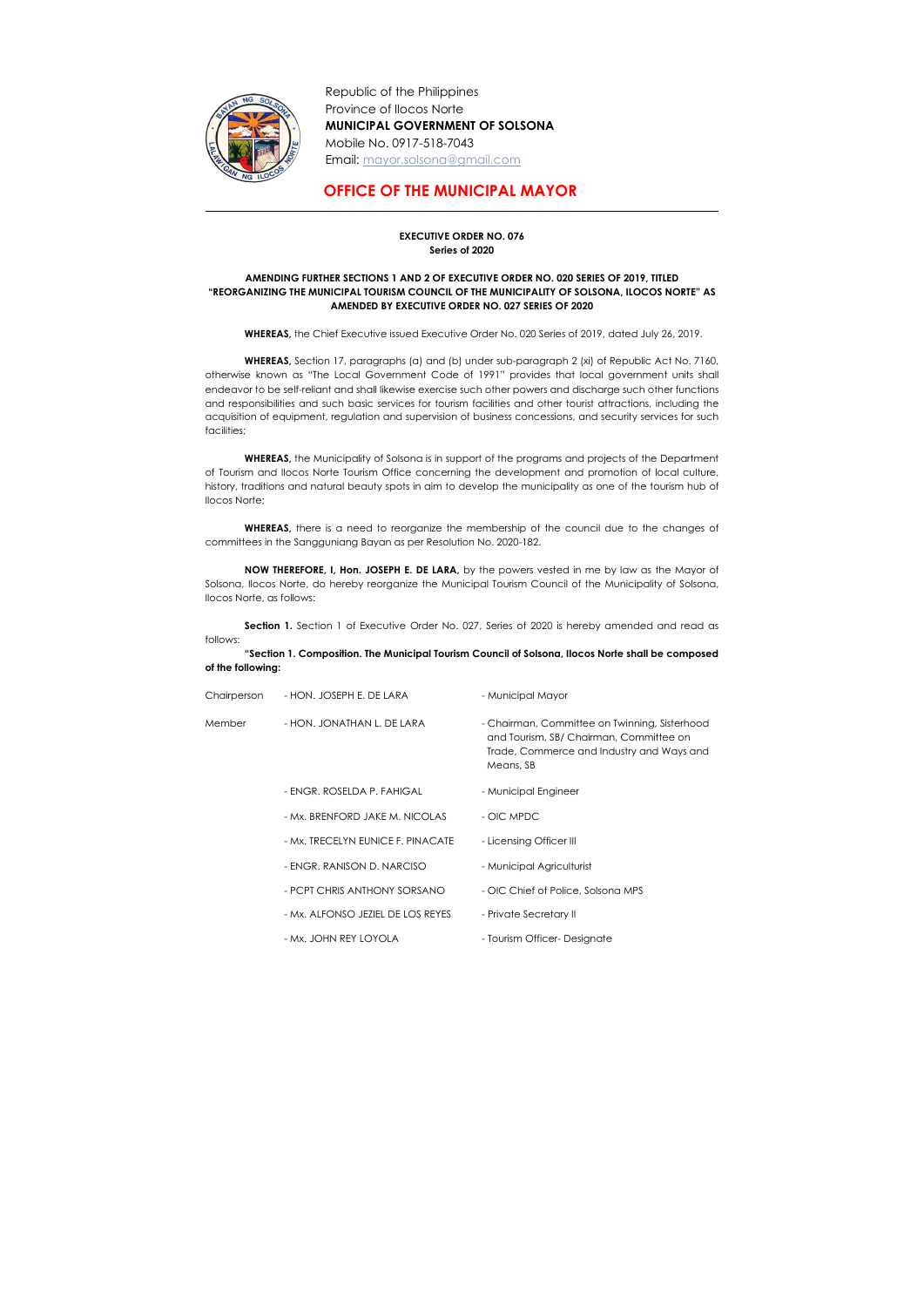

Republic of the Philippines Province of Ilocos Norte MUNICIPAL GOVERNMENT OF SOLSONA Mobile No. 0917-518-7043 Email: mayor.solsona@gmail.com

## OFFICE OF THE MUNICIPAL MAYOR

## EXECUTIVE ORDER NO. 076 Series of 2020

## AMENDING FURTHER SECTIONS 1 AND 2 OF EXECUTIVE ORDER NO. 020 SERIES OF 2019, TITLED "REORGANIZING THE MUNICIPAL TOURISM COUNCIL OF THE MUNICIPALITY OF SOLSONA, ILOCOS NORTE" AS AMENDED BY EXECUTIVE ORDER NO. 027 SERIES OF 2020

WHEREAS, the Chief Executive issued Executive Order No. 020 Series of 2019, dated July 26, 2019.

WHEREAS, Section 17, paragraphs (a) and (b) under sub-paragraph 2 (xi) of Republic Act No. 7160, otherwise known as "The Local Government Code of 1991" provides that local government units shall endeavor to be self-reliant and shall likewise exercise such other powers and discharge such other functions and responsibilities and such basic services for tourism facilities and other tourist attractions, including the acquisition of equipment, regulation and supervision of business concessions, and security services for such facilities;

Section 1. Section 1 of Executive Order No. 027, Series of 2020 is hereby amended and read as follows:

WHEREAS, the Municipality of Solsona is in support of the programs and projects of the Department of Tourism and Ilocos Norte Tourism Office concerning the development and promotion of local culture, history, traditions and natural beauty spots in aim to develop the municipality as one of the tourism hub of Ilocos Norte;

WHEREAS, there is a need to reorganize the membership of the council due to the changes of committees in the Sangguniang Bayan as per Resolution No. 2020-182.

NOW THEREFORE, I, Hon. JOSEPH E. DE LARA, by the powers vested in me by law as the Mayor of Solsona, Ilocos Norte, do hereby reorganize the Municipal Tourism Council of the Municipality of Solsona, Ilocos Norte, as follows:

"Section 1. Composition. The Municipal Tourism Council of Solsona, Ilocos Norte shall be composed of the following:

| Chairperson | - HON. JOSEPH E. DE LARA          | - Municipal Mayor                                                                                                                                  |
|-------------|-----------------------------------|----------------------------------------------------------------------------------------------------------------------------------------------------|
| Member      | - HON. JONATHAN L. DE LARA        | - Chairman, Committee on Twinning, Sisterhood<br>and Tourism, SB/ Chairman, Committee on<br>Trade, Commerce and Industry and Ways and<br>Means, SB |
|             | - ENGR. ROSELDA P. FAHIGAL        | - Municipal Engineer                                                                                                                               |
|             | - Mx. BRENFORD JAKE M. NICOLAS    | - OIC MPDC                                                                                                                                         |
|             | - Mx. TRECELYN EUNICE F. PINACATE | - Licensing Officer III                                                                                                                            |
|             | - ENGR. RANISON D. NARCISO        | - Municipal Agriculturist                                                                                                                          |
|             | - PCPT CHRIS ANTHONY SORSANO      | - OIC Chief of Police, Solsona MPS                                                                                                                 |
|             | - Mx. ALFONSO JEZIEL DE LOS REYES | - Private Secretary II                                                                                                                             |
|             | - Mx. JOHN REY LOYOLA             | - Tourism Officer-Designate                                                                                                                        |